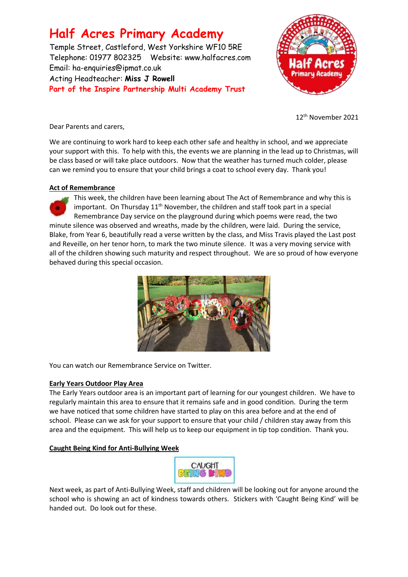# **Half Acres Primary Academy**

Temple Street, Castleford, West Yorkshire WF10 5RE Telephone: 01977 802325 Website: [www.halfacres.com](http://www.halfacres.com/) Email: ha-enquiries@ipmat.co.uk Acting Headteacher: **Miss J Rowell Part of the Inspire Partnership Multi Academy Trust**



12th November 2021

Dear Parents and carers,

We are continuing to work hard to keep each other safe and healthy in school, and we appreciate your support with this. To help with this, the events we are planning in the lead up to Christmas, will be class based or will take place outdoors. Now that the weather has turned much colder, please can we remind you to ensure that your child brings a coat to school every day. Thank you!

# **Act of Remembrance**

This week, the children have been learning about The Act of Remembrance and why this is important. On Thursday  $11<sup>th</sup>$  November, the children and staff took part in a special Remembrance Day service on the playground during which poems were read, the two minute silence was observed and wreaths, made by the children, were laid. During the service, Blake, from Year 6, beautifully read a verse written by the class, and Miss Travis played the Last post and Reveille, on her tenor horn, to mark the two minute silence. It was a very moving service with all of the children showing such maturity and respect throughout. We are so proud of how everyone behaved during this special occasion.



You can watch our Remembrance Service on Twitter.

# **Early Years Outdoor Play Area**

The Early Years outdoor area is an important part of learning for our youngest children. We have to regularly maintain this area to ensure that it remains safe and in good condition. During the term we have noticed that some children have started to play on this area before and at the end of school. Please can we ask for your support to ensure that your child / children stay away from this area and the equipment. This will help us to keep our equipment in tip top condition. Thank you.

# **Caught Being Kind for Anti-Bullying Week**



Next week, as part of Anti-Bullying Week, staff and children will be looking out for anyone around the school who is showing an act of kindness towards others. Stickers with 'Caught Being Kind' will be handed out. Do look out for these.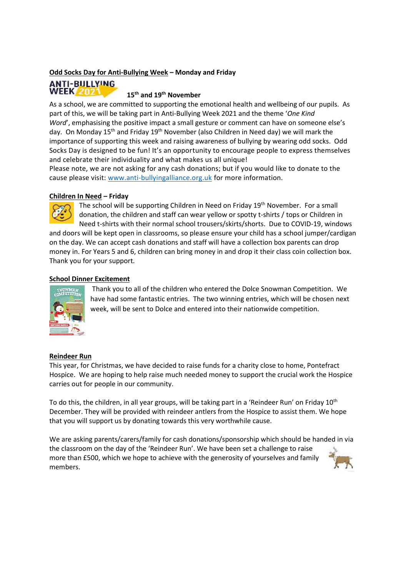## **Odd Socks Day for Anti-Bullying Week – Monday and Friday**

## **ANTI-BULLYING WEEK 2021**

## **15th and 19th November**

As a school, we are committed to supporting the emotional health and wellbeing of our pupils. As part of this, we will be taking part in Anti-Bullying Week 2021 and the theme '*One Kind Word'*, emphasising the positive impact a small gesture or comment can have on someone else's day. On Monday 15<sup>th</sup> and Friday 19<sup>th</sup> November (also Children in Need day) we will mark the importance of supporting this week and raising awareness of bullying by wearing odd socks. Odd Socks Day is designed to be fun! It's an opportunity to encourage people to express themselves and celebrate their individuality and what makes us all unique!

Please note, we are not asking for any cash donations; but if you would like to donate to the cause please visit: [www.anti-bullyingalliance.org.uk](http://www.anti-bullyingalliance.org.uk/) for more information.

## **Children In Need – Friday**



The school will be supporting Children in Need on Friday 19<sup>th</sup> November. For a small donation, the children and staff can wear yellow or spotty t-shirts / tops or Children in Need t-shirts with their normal school trousers/skirts/shorts. Due to COVID-19, windows

and doors will be kept open in classrooms, so please ensure your child has a school jumper/cardigan on the day. We can accept cash donations and staff will have a collection box parents can drop money in. For Years 5 and 6, children can bring money in and drop it their class coin collection box. Thank you for your support.

# **School Dinner Excitement**



Thank you to all of the children who entered the Dolce Snowman Competition. We have had some fantastic entries. The two winning entries, which will be chosen next week, will be sent to Dolce and entered into their nationwide competition.

#### **Reindeer Run**

This year, for Christmas, we have decided to raise funds for a charity close to home, Pontefract Hospice. We are hoping to help raise much needed money to support the crucial work the Hospice carries out for people in our community.

To do this, the children, in all year groups, will be taking part in a 'Reindeer Run' on Friday 10<sup>th</sup> December. They will be provided with reindeer antlers from the Hospice to assist them. We hope that you will support us by donating towards this very worthwhile cause.

We are asking parents/carers/family for cash donations/sponsorship which should be handed in via the classroom on the day of the 'Reindeer Run'. We have been set a challenge to raise more than £500, which we hope to achieve with the generosity of yourselves and family members.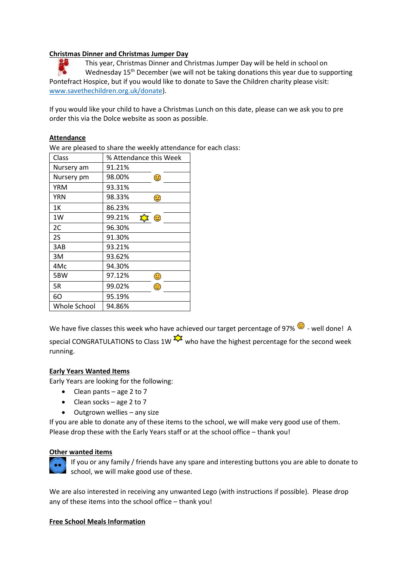# **Christmas Dinner and Christmas Jumper Day**

This year, Christmas Dinner and Christmas Jumper Day will be held in school on Wednesday  $15<sup>th</sup>$  December (we will not be taking donations this year due to supporting Pontefract Hospice, but if you would like to donate to Save the Children charity please visit: [www.savethechildren.org.uk/donate\)](http://www.savethechildren.org.uk/donate).

If you would like your child to have a Christmas Lunch on this date, please can we ask you to pre order this via the Dolce website as soon as possible.

## **Attendance**

We are pleased to share the weekly attendance for each class:

| Class        | % Attendance this Week |
|--------------|------------------------|
| Nursery am   | 91.21%                 |
| Nursery pm   | 98.00%<br>☺            |
| YRM          | 93.31%                 |
| YRN          | 98.33%<br>☺            |
| 1Κ           | 86.23%                 |
| 1W           | 99.21%<br>☆ ©          |
| 2C           | 96.30%                 |
| 2S           | 91.30%                 |
| 3AB          | 93.21%                 |
| 3M           | 93.62%                 |
| 4Mc          | 94.30%                 |
| 5BW          | 97.12%<br>Œ            |
| 5R           | 99.02%<br>œ            |
| 60           | 95.19%                 |
| Whole School | 94.86%                 |

We have five classes this week who have achieved our target percentage of 97%  $\bigcirc$  - well done! A special CONGRATULATIONS to Class 1W  $\frac{1}{2}$  who have the highest percentage for the second week running.

# **Early Years Wanted Items**

Early Years are looking for the following:

- Clean pants age 2 to 7
- $\bullet$  Clean socks age 2 to 7
- Outgrown wellies any size

If you are able to donate any of these items to the school, we will make very good use of them. Please drop these with the Early Years staff or at the school office – thank you!

#### **Other wanted items**



If you or any family / friends have any spare and interesting buttons you are able to donate to school, we will make good use of these.

We are also interested in receiving any unwanted Lego (with instructions if possible). Please drop any of these items into the school office – thank you!

# **Free School Meals Information**